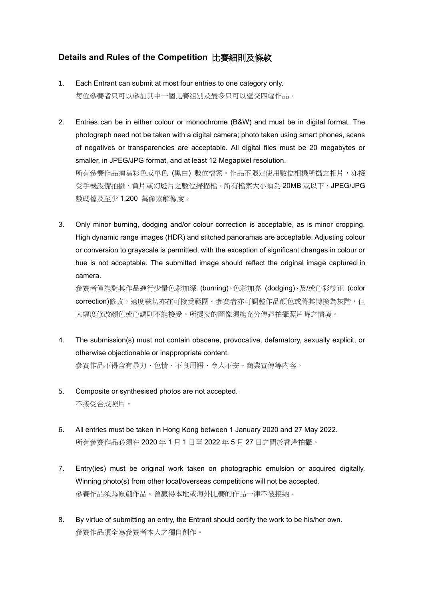## **Details and Rules of the Competition** 比賽細則及條款

- 1. Each Entrant can submit at most four entries to one category only. 每位參賽者只可以參加其中一個比賽組別及最多只可以遞交四幅作品。
- 2. Entries can be in either colour or monochrome (B&W) and must be in digital format. The photograph need not be taken with a digital camera; photo taken using smart phones, scans of negatives or transparencies are acceptable. All digital files must be 20 megabytes or smaller, in JPEG/JPG format, and at least 12 Megapixel resolution. 所有參賽作品須為彩色或單色 (黑白) 數位檔案。作品不限定使用數位相機所攝之相片,亦接 受手機設備拍攝、負片或幻燈片之數位掃描檔。所有檔案大小須為 20MB 或以下、JPEG/JPG 數碼檔及至少 1,200 萬像素解像度。
- 3. Only minor burning, dodging and/or colour correction is acceptable, as is minor cropping. High dynamic range images (HDR) and stitched panoramas are acceptable. Adjusting colour or conversion to grayscale is permitted, with the exception of significant changes in colour or hue is not acceptable. The submitted image should reflect the original image captured in camera.

參賽者僅能對其作品進行少量色彩加深 (burning)、色彩加亮 (dodging)、及/或色彩校正 (color correction)修改,適度裁切亦在可接受範圍。參賽者亦可調整作品顏色或將其轉換為灰階,但 大幅度修改顏色或色調則不能接受。所提交的圖像須能充分傳達拍攝照片時之情境。

- 4. The submission(s) must not contain obscene, provocative, defamatory, sexually explicit, or otherwise objectionable or inappropriate content. 參賽作品不得含有暴力、色情、不良用語、令人不安、商業宣傳等內容。
- 5. Composite or synthesised photos are not accepted. 不接受合成照片。
- 6. All entries must be taken in Hong Kong between 1 January 2020 and 27 May 2022. 所有參賽作品必須在 2020 年 1 月 1 日至 2022 年 5 月 27 日之間於香港拍攝。
- 7. Entry(ies) must be original work taken on photographic emulsion or acquired digitally. Winning photo(s) from other local/overseas competitions will not be accepted. 參賽作品須為原創作品。曾贏得本地或海外比賽的作品一律不被接納。
- 8. By virtue of submitting an entry, the Entrant should certify the work to be his/her own. 參賽作品須全為參賽者本人之獨自創作。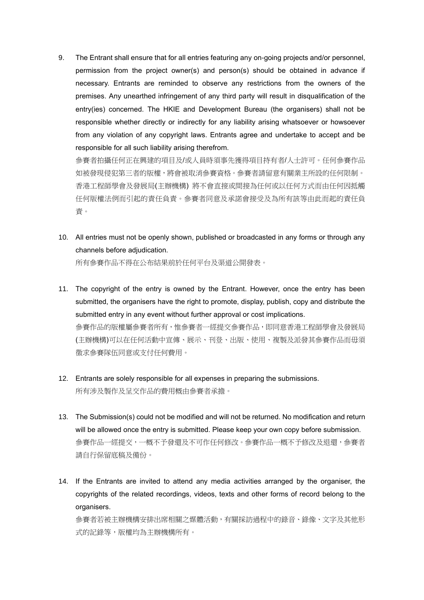9. The Entrant shall ensure that for all entries featuring any on-going projects and/or personnel, permission from the project owner(s) and person(s) should be obtained in advance if necessary. Entrants are reminded to observe any restrictions from the owners of the premises. Any unearthed infringement of any third party will result in disqualification of the entry(ies) concerned. The HKIE and Development Bureau (the organisers) shall not be responsible whether directly or indirectly for any liability arising whatsoever or howsoever from any violation of any copyright laws. Entrants agree and undertake to accept and be responsible for all such liability arising therefrom.

參賽者拍攝任何正在興建的項目及/或人員時須事先獲得項目持有者/人士許可。任何參賽作品 如被發現侵犯第三者的版權,將會被取消參賽資格。參賽者請留意有關業主所設的任何限制。 香港工程師學會及發展局(主辦機構) 將不會直接或間接為任何或以任何方式而由任何因抵觸 任何版權法例而引起的責任負責。參賽者同意及承諾會接受及為所有該等由此而起的責任負 責。

- 10. All entries must not be openly shown, published or broadcasted in any forms or through any channels before adjudication. 所有參賽作品不得在公布結果前於任何平台及渠道公開發表。
- 11. The copyright of the entry is owned by the Entrant. However, once the entry has been submitted, the organisers have the right to promote, display, publish, copy and distribute the submitted entry in any event without further approval or cost implications. 參賽作品的版權屬參賽者所有,惟參賽者一經提交參賽作品,即同意香港工程師學會及發展局 (主辦機構)可以在任何活動中宣傳、展示、刊登、出版、使用、複製及派發其參賽作品而毋須 徵求參賽隊伍同意或支付任何費用。
- 12. Entrants are solely responsible for all expenses in preparing the submissions. 所有涉及製作及呈交作品的費用概由參賽者承擔。
- 13. The Submission(s) could not be modified and will not be returned. No modification and return will be allowed once the entry is submitted. Please keep your own copy before submission. 參賽作品一經提交,一概不予發還及不可作任何修改。參賽作品一概不予修改及退還,參賽者 請自行保留底稿及備份。
- 14. If the Entrants are invited to attend any media activities arranged by the organiser, the copyrights of the related recordings, videos, texts and other forms of record belong to the organisers.

參賽者若被主辦機構安排出席相關之媒體活動,有關採訪過程中的錄音、錄像、文字及其他形 式的記錄等,版權均為主辦機構所有。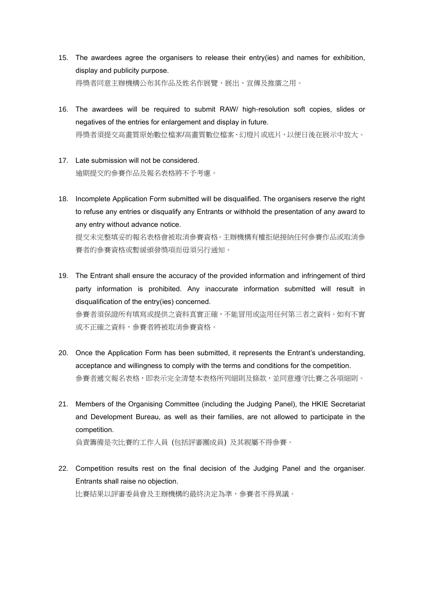- 15. The awardees agree the organisers to release their entry(ies) and names for exhibition, display and publicity purpose. 得獎者同意主辦機構公布其作品及姓名作展覽、展出、宣傳及推廣之用。
- 16. The awardees will be required to submit RAW/ high-resolution soft copies, slides or negatives of the entries for enlargement and display in future. 得獎者須提交高畫質原始數位檔案/高畫質數位檔案、幻燈片或底片,以便日後在展示中放大。
- 17. Late submission will not be considered. 逾期提交的參賽作品及報名表格將不予考慮。
- 18. Incomplete Application Form submitted will be disqualified. The organisers reserve the right to refuse any entries or disqualify any Entrants or withhold the presentation of any award to any entry without advance notice. 提交未完整填妥的報名表格會被取消參賽資格。主辦機構有權拒絕接納任何參賽作品或取消參 賽者的參賽資格或暫緩頒發獎項而毋須另行通知。
- 19. The Entrant shall ensure the accuracy of the provided information and infringement of third party information is prohibited. Any inaccurate information submitted will result in disqualification of the entry(ies) concerned. 參賽者須保證所有填寫或提供之資料真實正確,不能冒用或盜用任何第三者之資料。如有不實 或不正確之資料,參賽者將被取消參賽資格。
- 20. Once the Application Form has been submitted, it represents the Entrant's understanding, acceptance and willingness to comply with the terms and conditions for the competition. 參賽者遞交報名表格,即表示完全清楚本表格所列細則及條款,並同意遵守比賽之各項細則。
- 21. Members of the Organising Committee (including the Judging Panel), the HKIE Secretariat and Development Bureau, as well as their families, are not allowed to participate in the competition.

負責籌備是次比賽的工作人員 (包括評審團成員) 及其親屬不得參賽。

22. Competition results rest on the final decision of the Judging Panel and the organiser. Entrants shall raise no objection. 比賽結果以評審委員會及主辦機構的最終決定為準,參賽者不得異議。